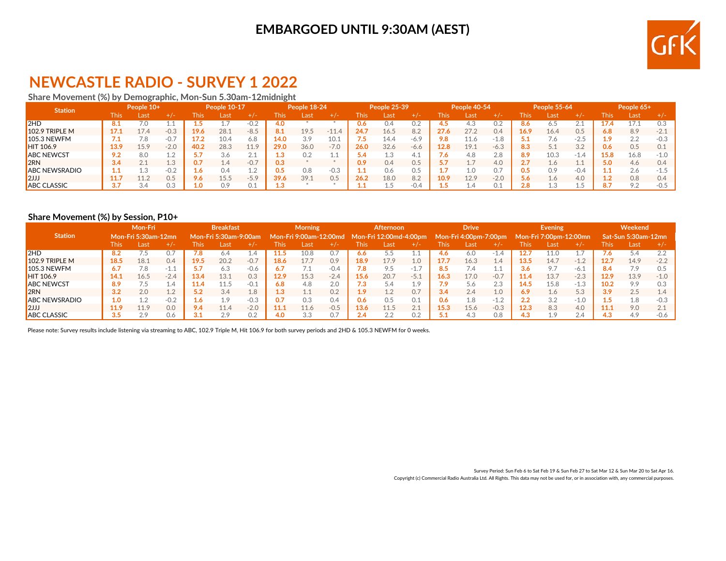## **EMBARGOED UNTIL 9:30AM (AEST)**



# **NEWCASTLE RADIO - SURVEY 1 2022**

### **Share Movement (%) by Demographic, Mon-Sun 5.30am-12midnight**

| <b>Station</b>       | People 10+  |      | People 10-17 |      |      |        | People 18-24 |       |         | People 25-39 |      | <b>People 40-54</b> |               |            | <b>People 55-64</b> |       |      | People 65+ |       |      |         |
|----------------------|-------------|------|--------------|------|------|--------|--------------|-------|---------|--------------|------|---------------------|---------------|------------|---------------------|-------|------|------------|-------|------|---------|
|                      | <b>This</b> | Last | $+/-$        | This | Last | +7-    | This         | /Last | $+$ / - | <b>This</b>  | Last | +7-                 | ${\sf This'}$ | Last       | $+/-$               | l his | Last | +7-        | This. | Last | $+$ / - |
| 2HD                  | 8.1         | 7.0  |              |      |      | $-0.2$ | 4.0          |       |         | 0.6          | 0.4  | 0.2                 | 4.5           | 4.3        |                     | 8.6   |      | ∠.⊥        |       |      | 0.3     |
| $102.9$ TRIPLE M     | 17.1        | 17.4 | $-0.3$       | 19.6 | 28.1 | $-8.5$ | 8.1          | 19.5  | $-11.4$ | 24.7         | 16.5 | 8.2                 | 27.6          | 27.2       | 0.4                 | 16.9  | 16.4 | 0.5        | 5.8   | 8.9  | $-2.1$  |
| $105.3$ NEWFM        | 7.1         |      | $-0.$        | 17.2 | 10.4 | 6.8    | 14.0         | 3.9   | 10.1    |              | 14.4 | $-6.9$              | 9.8           | 11.6       | $-19$<br>i.u        |       |      | $-2.5$     |       | 2.2  | $-0.3$  |
| <b>HIT 106.9</b>     | 13.9        | 15.9 | $-2.0$       | 40.2 | 28.3 | 11.9   | 29.0         | 36.0  | $-7.0$  | 26.0         | 32.6 | $-6.6$              | 12.8          | 19.1       | $-6.3$              | 8.3   | Γ.   | 3.2        | 0.6   | 0.5  | 0.1     |
| <b>ABC NEWCST</b>    | 9.2         | 8.0  |              |      | 3.6  | Z. 1   |              | 0.2   |         |              |      |                     | 7.6           | 4.8        | 2.8                 | 8.9   | 10.3 | $\perp$ .4 |       | 16.8 | $-1.0$  |
| l2RN                 | 3.4         |      | 1<br>T.A     |      | 4.4  | $-0.7$ | 0.3          |       |         | 0.9          | 0.4  | 0.5                 | 5.7           |            | 4.0                 | 2.7   |      | 1.1        | 5.0   | 4.6  | 0.4     |
| <b>ABC NEWSRADIO</b> | 1.1         |      | $-0.2$       | 6    |      | 1.2    |              | 0.8   | $-0.3$  |              | 0.6  | 0.5                 |               | 1.0        | 0.7                 | 0.5   | 0.9  | $-0.4$     |       | 2.6  | -1.5    |
| $\mathsf{I2JJ}$      | 11.7        | 11.2 | 0.5          | 9.6  | 15.5 | $-5.9$ | 39.6         | 39.1  | 0.5     | 26.2         | 18.0 | 8.2                 | 10.9          | 12.9       | $-2.0$              | 5.6   | 1.6  | 4.0        |       | 0.8  | 0.4     |
| <b>ABC CLASSIC</b>   | 3.7         | 3.4  | 0.3          | 0    | 0.9  | 0.1    |              |       |         |              | L.5  | $-0.4$              |               | <b>1.4</b> | 0.1                 | 2.8   |      | L.5        |       | 9.2  | $-0.5$  |

#### **Share Movement (%) by Session, P10+**

|                       | <b>Mon-Fri</b>      |      |        | <b>Breakfast</b> |                              |            | <b>Morning</b> |                          |         | <b>Afternoon</b> |                        |                             | <b>Drive</b> |                       |                   | <b>Evening</b> |                        |        | Weekend |                     |        |
|-----------------------|---------------------|------|--------|------------------|------------------------------|------------|----------------|--------------------------|---------|------------------|------------------------|-----------------------------|--------------|-----------------------|-------------------|----------------|------------------------|--------|---------|---------------------|--------|
| <b>Station</b>        | Mon-Fri 5:30am-12mn |      |        |                  | <b>Mon-Fri 5:30am-9:00am</b> |            |                | , Mon-Fri 9:00am-12:00md |         |                  | Mon-Fri 12:00md-4:00pm |                             |              | Mon-Fri 4:00pm-7:00pm |                   |                | Mon-Fri 7:00pm-12:00mn |        |         | Sat-Sun 5:30am-12mn |        |
|                       | <b>This</b>         | Last | +7-    | This             | Last                         | $+/-$      | This           | Last                     | $+$ / – | This             | Last                   |                             | This         | Last                  | $+/-$             | This           | Last                   | $+/-$  | This    | Last                | $+/-$  |
| 2HD                   | 8.2                 |      |        |                  |                              | <b>A.4</b> | 1.5            | 10.8                     | 0.      | 6.6              |                        |                             | 4.6          | 6.0                   | - 1<br><b>L.T</b> |                |                        |        |         | 5.4                 | 2.2    |
| $102.9$ TRIPLE M      | 18.5                | 18.1 | 0.4    | 19.5             | 20.2                         | $-0.7$     | 18.6           | 17.7                     | 0.9     | 18.9             | 17.9                   | 1.0                         | 17.7         | 16.3                  | 1.4               | 13.5           | 14.7                   | $-1.2$ | 12.7    | 14.9                | $-2.2$ |
| $105.3$ NEWFM         | 6.7                 | 7.8  | $-1$   |                  |                              | $-0.6$     |                |                          | $-0.4$  |                  | 9.5                    | $-1$<br><b>J.C.</b>         | 8.5          | $\sqrt{.4}$           |                   |                | $\circ$ 7              | -6.1   | 8.4     | 7.9                 | 0.5    |
| <b>HIT 106.9</b>      | 14.1                | 16.5 | $-2.4$ | 13.4             | 13.1                         | 0.3        | 12.9           | 15.3                     | $-2.4$  | 15.6             | 20.7                   | $-5.1$                      | 16.3         | 17.0                  | $-0.7$            | 11.4           | 13.7                   | $-2.3$ | 12.9    | 13.9                | $-1.0$ |
| <b>ABC NEWCST</b>     | 8.9                 | د./  |        | 11.4             |                              | $-0.1$     | 6.8            | 4.8                      | 2.0     |                  | 5.4                    | 1.9                         | 7.9          | 5.6                   | 2.3               | 14.5           |                        | $-1.3$ | 10.2    | 9.9                 | 0.3    |
| 2RN                   | 3.2                 | 2.0  | 10     |                  | 3.4                          | 1.8        | ı.ə            | 1.1                      | 0.2     | 1 Q              | 1.2                    | 0.7                         | 3.4          | 2.4                   | 1.0               | 6.9            | $\pm .6$               | 5.3    | 3.9     | 2.5                 | 1.4    |
| <b>JABC NEWSRADIO</b> | 1.0                 |      | $-0.2$ |                  | 9.،                          | $-0.3$     |                | 0.3                      | 0.4     | 0.6              | 0.5                    | 0.1                         | 0.6          | 1.8                   | $-1.2$            | 2.2            | 3.2                    | $-1.0$ |         | 1.8                 | $-0.3$ |
| 12JJ                  | 11.9                | 11.9 | 0.0    | 9.4              | 11.4                         | $-2.0$     | 11.1           | 11.6                     | $-0.5$  | 13.6             | 11.5                   | $\bigcap$ $\bigcap$<br>Z. 1 | 15.3         | 15.6                  | $-0.3$            | 12.3           | 8.3                    | 4.0    | 11.1    | 9.0                 | 2.1    |
| <b>ABC CLASSIC</b>    | 3.5                 | 2.9  | 0.6    |                  | 2.9                          | 0.2        | 4.0            | 3.3                      | 0.      |                  | 2.2                    | 0.2                         | 5.1          | 4.3                   | 0.8               | 43             | $\circ$                | 2.4    |         | 4.9                 | $-0.6$ |

Please note: Survey results include listening via streaming to ABC, 102.9 Triple M, Hit 106.9 for both survey periods and 2HD & 105.3 NEWFM for 0 weeks.

Survey Period: Sun Feb 6 to Sat Feb 19 & Sun Feb 27 to Sat Mar 12 & Sun Mar 20 to Sat Apr 16. Copyright (c) Commercial Radio Australia Ltd. All Rights. This data may not be used for, or in association with, any commercial purposes.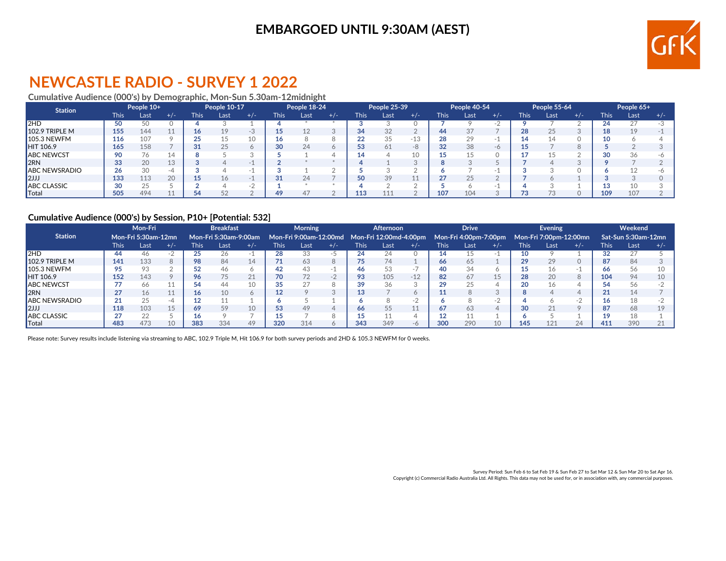## **EMBARGOED UNTIL 9:30AM (AEST)**



# **NEWCASTLE RADIO - SURVEY 1 2022**

### **Cumulative Audience (000's) by Demographic, Mon-Sun 5.30am-12midnight**

| <b>Station</b>       | People 10+  |      | <b>People 10-17</b> |             | People 18-24 |       |      | <b>People 25-39</b> |       |             | People 40-54 |       |      | <b>People 55-64</b> |       |             | People 65+ |       |             |      |       |
|----------------------|-------------|------|---------------------|-------------|--------------|-------|------|---------------------|-------|-------------|--------------|-------|------|---------------------|-------|-------------|------------|-------|-------------|------|-------|
|                      | <b>This</b> | Last | $+/-$               | <b>This</b> | Last         | $+/-$ | This | Last                | $+/-$ | <b>This</b> | Last         | $+/-$ | This | Last                | $+/-$ | <b>This</b> | Last       | $+/-$ | <b>This</b> | Last | $+/-$ |
| 2HD                  | 50          |      |                     |             |              |       |      |                     |       |             |              |       |      |                     |       |             |            |       |             |      |       |
| $102.9$ TRIPLE M     | 155         | 144  |                     |             |              | -3    |      | 12                  |       | 34          | 32           |       | 44   | 37                  |       | 28          | 25         |       |             | 19   |       |
| $105.3$ NEWFM        | 116         | 107  |                     |             |              |       |      |                     |       | າາ<br>∠∠    | 35           | -15   | 28   | 20                  |       |             |            |       |             |      |       |
| HIT 106.9            | 165         | 158  |                     | $^{\circ}$  |              |       | 30   | 24                  |       | 53          | 61           | -8    | 32   | 38                  | $-6$  |             |            |       |             |      |       |
| <b>ABC NEWCST</b>    | 90          | 76   |                     |             |              |       |      |                     |       |             |              |       |      |                     |       |             |            |       |             | 36   |       |
| l2RN                 | 33          | 20   | 1 <sup>c</sup>      |             |              |       |      |                     |       |             |              |       |      |                     |       |             |            |       |             |      |       |
| <b>ABC NEWSRADIO</b> | 26          | 30   |                     |             |              |       |      |                     |       |             |              |       |      |                     |       |             |            |       |             |      |       |
| 2                    | 133         | 113  | 20                  |             |              |       |      | 24                  |       | 50          | 39           |       | 27   | つに                  |       |             |            |       |             |      |       |
| <b>ABC CLASSIC</b>   | 30          | つに   |                     |             |              | - 2   |      |                     |       |             |              |       |      |                     |       |             |            |       |             | 10   |       |
| Total                | 505         | 494  |                     |             |              |       |      | 47                  |       | 113         |              |       | 107  | 104                 |       |             |            |       | 109         | 107  |       |

#### **Cumulative Audience (000's) by Session, P10+ [Potential: 532]**

|                      | Mon-Fri             |      |       | <b>Breakfast</b> |                       |       | <b>Morning</b> |                                               |       | Afternoon   |      |          | <b>Drive</b> |                       |       | <b>Evening</b> |                        |       | Weekend |                     |     |
|----------------------|---------------------|------|-------|------------------|-----------------------|-------|----------------|-----------------------------------------------|-------|-------------|------|----------|--------------|-----------------------|-------|----------------|------------------------|-------|---------|---------------------|-----|
| <b>Station</b>       | Mon-Fri 5:30am-12mn |      |       |                  | Mon-Fri 5:30am-9:00am |       |                | Mon-Fri 9:00am-12:00md Mon-Fri 12:00md-4:00pm |       |             |      |          |              | Mon-Fri 4:00pm-7:00pm |       |                | Mon-Fri 7:00pm-12:00mn |       |         | Sat-Sun 5:30am-12mn |     |
|                      | <b>This</b>         | Last | $+/-$ | This             | Last                  | $+/-$ | This           | Last                                          | $+/-$ | <b>This</b> | Last | $+/-$    | This         | Last                  | $+/-$ | <b>This</b>    | Last                   | $+/-$ | This    | Last                | +/- |
| 2HD                  | 44                  | 46.  |       |                  |                       |       | 28             | 33                                            |       | 24          | 24   |          | 14           |                       |       |                |                        |       |         |                     |     |
| $102.9$ TRIPLE M     | 141                 | 133  |       | 98               | 84                    | 14    |                | 63                                            |       |             | 74   |          | 66           |                       |       | 29             | 29                     |       |         | 84                  |     |
| $105.3$ NEWFM        | 95                  | 93   |       | 52               | 46                    |       | 42             | 43                                            |       | 46          | 53   |          | 40           | 34                    |       |                |                        |       |         | 56                  |     |
| HIT 106.9            | 152                 | 143  |       | 96               | 75                    | 21    | 70             | 72                                            | $-7$  | 93          | 105  | $-12$    | 82           | 67                    | 15    | 28             | 20                     | 8     | 104     | 94                  |     |
| <b>JABC NEWCST</b>   |                     | 66.  |       | 54               | 44                    | 10    | 35             | 27                                            |       | 39          | 36   |          | 29           |                       |       |                |                        |       |         | 56                  |     |
| 2RN                  | 27                  | 16   |       |                  |                       |       |                |                                               |       | 13          |      |          |              |                       |       |                |                        |       |         | 14                  |     |
| <b>ABC NEWSRADIO</b> | 21                  | つら   |       |                  |                       |       |                |                                               |       |             |      |          |              |                       | п.    |                |                        |       |         |                     |     |
| $\mathsf{I2JJ}$      | 118                 | 103  | 15    | 69               | 59                    | 10    | 53             | 49                                            |       | 66          | 55   |          | 67           | 63                    | Δ     | 30             | 21                     |       | 87      | 68                  |     |
| <b>ABC CLASSIC</b>   | 27                  | 22   |       |                  |                       |       |                |                                               |       |             |      |          |              |                       |       |                |                        |       |         | 18                  |     |
| <b>T</b> otal        | 483                 | 473  |       | 383              | 334                   | 49    | 320            | 314                                           |       | 343         | 349  | $-\circ$ | 300          | 290                   | 10    | 145            | 121                    | 24    | 411     | 390                 |     |

Please note: Survey results include listening via streaming to ABC, 102.9 Triple M, Hit 106.9 for both survey periods and 2HD & 105.3 NEWFM for 0 weeks.